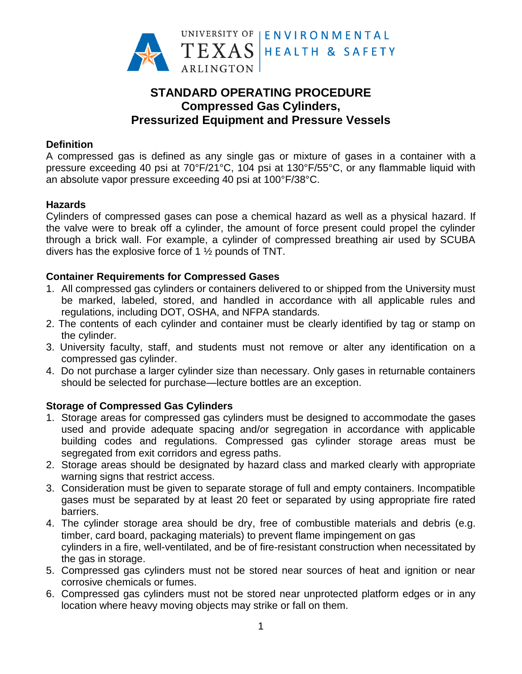

# **STANDARD OPERATING PROCEDURE Compressed Gas Cylinders, Pressurized Equipment and Pressure Vessels**

#### **Definition**

A compressed gas is defined as any single gas or mixture of gases in a container with a pressure exceeding 40 psi at 70°F/21°C, 104 psi at 130°F/55°C, or any flammable liquid with an absolute vapor pressure exceeding 40 psi at 100°F/38°C.

### **Hazards**

Cylinders of compressed gases can pose a chemical hazard as well as a physical hazard. If the valve were to break off a cylinder, the amount of force present could propel the cylinder through a brick wall. For example, a cylinder of compressed breathing air used by SCUBA divers has the explosive force of 1 ½ pounds of TNT.

## **Container Requirements for Compressed Gases**

- 1. All compressed gas cylinders or containers delivered to or shipped from the University must be marked, labeled, stored, and handled in accordance with all applicable rules and regulations, including DOT, OSHA, and NFPA standards.
- 2. The contents of each cylinder and container must be clearly identified by tag or stamp on the cylinder.
- 3. University faculty, staff, and students must not remove or alter any identification on a compressed gas cylinder.
- 4. Do not purchase a larger cylinder size than necessary. Only gases in returnable containers should be selected for purchase—lecture bottles are an exception.

## **Storage of Compressed Gas Cylinders**

- 1. Storage areas for compressed gas cylinders must be designed to accommodate the gases used and provide adequate spacing and/or segregation in accordance with applicable building codes and regulations. Compressed gas cylinder storage areas must be segregated from exit corridors and egress paths.
- 2. Storage areas should be designated by hazard class and marked clearly with appropriate warning signs that restrict access.
- 3. Consideration must be given to separate storage of full and empty containers. Incompatible gases must be separated by at least 20 feet or separated by using appropriate fire rated barriers.
- 4. The cylinder storage area should be dry, free of combustible materials and debris (e.g. timber, card board, packaging materials) to prevent flame impingement on gas cylinders in a fire, well-ventilated, and be of fire-resistant construction when necessitated by the gas in storage.
- 5. Compressed gas cylinders must not be stored near sources of heat and ignition or near corrosive chemicals or fumes.
- 6. Compressed gas cylinders must not be stored near unprotected platform edges or in any location where heavy moving objects may strike or fall on them.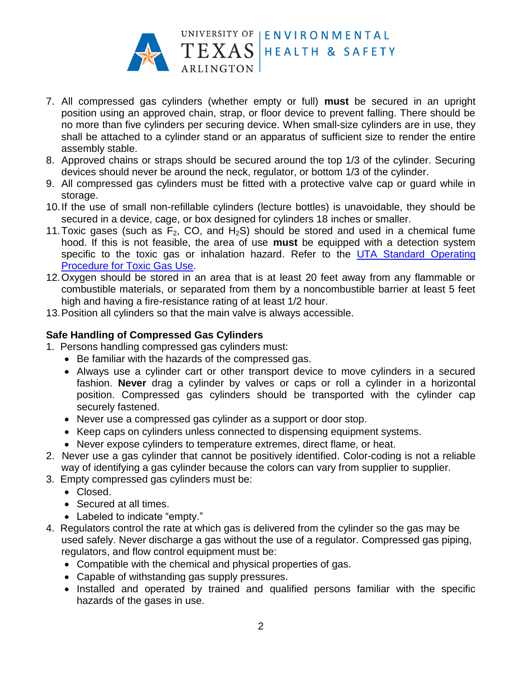

- 7. All compressed gas cylinders (whether empty or full) **must** be secured in an upright position using an approved chain, strap, or floor device to prevent falling. There should be no more than five cylinders per securing device. When small-size cylinders are in use, they shall be attached to a cylinder stand or an apparatus of sufficient size to render the entire assembly stable.
- 8. Approved chains or straps should be secured around the top 1/3 of the cylinder. Securing devices should never be around the neck, regulator, or bottom 1/3 of the cylinder.
- 9. All compressed gas cylinders must be fitted with a protective valve cap or guard while in storage.
- 10.If the use of small non-refillable cylinders (lecture bottles) is unavoidable, they should be secured in a device, cage, or box designed for cylinders 18 inches or smaller.
- 11. Toxic gases (such as  $F_2$ , CO, and  $H_2S$ ) should be stored and used in a chemical fume hood. If this is not feasible, the area of use **must** be equipped with a detection system specific to the toxic gas or inhalation hazard. Refer to the [UTA Standard](http://www.uta.edu/campus-ops/ehs/chemical/docs/SOP-toxic-gas.pdf) Operating [Procedure for Toxic Gas](http://www.uta.edu/campus-ops/ehs/chemical/docs/SOP-toxic-gas.pdf) Use.
- 12.Oxygen should be stored in an area that is at least 20 feet away from any flammable or combustible materials, or separated from them by a noncombustible barrier at least 5 feet high and having a fire-resistance rating of at least 1/2 hour.
- 13.Position all cylinders so that the main valve is always accessible.

### **Safe Handling of Compressed Gas Cylinders**

- 1. Persons handling compressed gas cylinders must:
	- Be familiar with the hazards of the compressed gas.
	- Always use a cylinder cart or other transport device to move cylinders in a secured fashion. **Never** drag a cylinder by valves or caps or roll a cylinder in a horizontal position. Compressed gas cylinders should be transported with the cylinder cap securely fastened.
	- Never use a compressed gas cylinder as a support or door stop.
	- Keep caps on cylinders unless connected to dispensing equipment systems.
	- Never expose cylinders to temperature extremes, direct flame, or heat.
- 2. Never use a gas cylinder that cannot be positively identified. Color-coding is not a reliable way of identifying a gas cylinder because the colors can vary from supplier to supplier.
- 3. Empty compressed gas cylinders must be:
	- Closed.
	- Secured at all times.
	- Labeled to indicate "empty."
- 4. Regulators control the rate at which gas is delivered from the cylinder so the gas may be used safely. Never discharge a gas without the use of a regulator. Compressed gas piping, regulators, and flow control equipment must be:
	- Compatible with the chemical and physical properties of gas.
	- Capable of withstanding gas supply pressures.
	- Installed and operated by trained and qualified persons familiar with the specific hazards of the gases in use.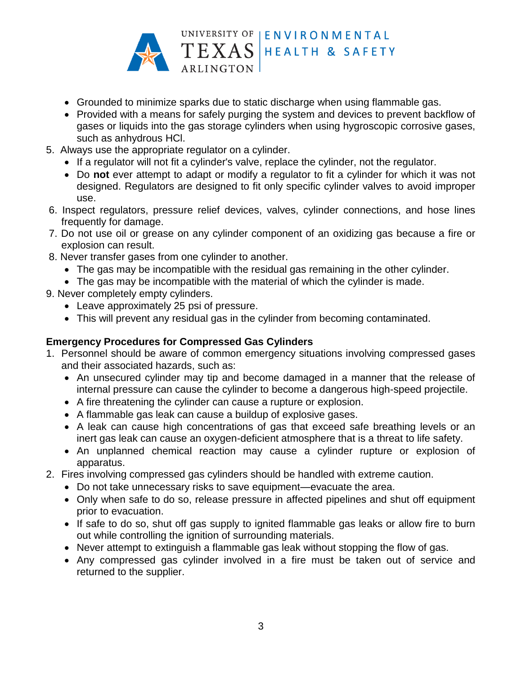

- Grounded to minimize sparks due to static discharge when using flammable gas.
- Provided with a means for safely purging the system and devices to prevent backflow of gases or liquids into the gas storage cylinders when using hygroscopic corrosive gases, such as anhydrous HCl.
- 5. Always use the appropriate regulator on a cylinder.
	- If a regulator will not fit a cylinder's valve, replace the cylinder, not the regulator.
	- Do **not** ever attempt to adapt or modify a regulator to fit a cylinder for which it was not designed. Regulators are designed to fit only specific cylinder valves to avoid improper use.
- 6. Inspect regulators, pressure relief devices, valves, cylinder connections, and hose lines frequently for damage.
- 7. Do not use oil or grease on any cylinder component of an oxidizing gas because a fire or explosion can result.
- 8. Never transfer gases from one cylinder to another.
	- The gas may be incompatible with the residual gas remaining in the other cylinder.
	- The gas may be incompatible with the material of which the cylinder is made.
- 9. Never completely empty cylinders.
	- Leave approximately 25 psi of pressure.
	- This will prevent any residual gas in the cylinder from becoming contaminated.

## **Emergency Procedures for Compressed Gas Cylinders**

- 1. Personnel should be aware of common emergency situations involving compressed gases and their associated hazards, such as:
	- An unsecured cylinder may tip and become damaged in a manner that the release of internal pressure can cause the cylinder to become a dangerous high-speed projectile.
	- A fire threatening the cylinder can cause a rupture or explosion.
	- A flammable gas leak can cause a buildup of explosive gases.
	- A leak can cause high concentrations of gas that exceed safe breathing levels or an inert gas leak can cause an oxygen-deficient atmosphere that is a threat to life safety.
	- An unplanned chemical reaction may cause a cylinder rupture or explosion of apparatus.
- 2. Fires involving compressed gas cylinders should be handled with extreme caution.
	- Do not take unnecessary risks to save equipment—evacuate the area.
	- Only when safe to do so, release pressure in affected pipelines and shut off equipment prior to evacuation.
	- If safe to do so, shut off gas supply to ignited flammable gas leaks or allow fire to burn out while controlling the ignition of surrounding materials.
	- Never attempt to extinguish a flammable gas leak without stopping the flow of gas.
	- Any compressed gas cylinder involved in a fire must be taken out of service and returned to the supplier.